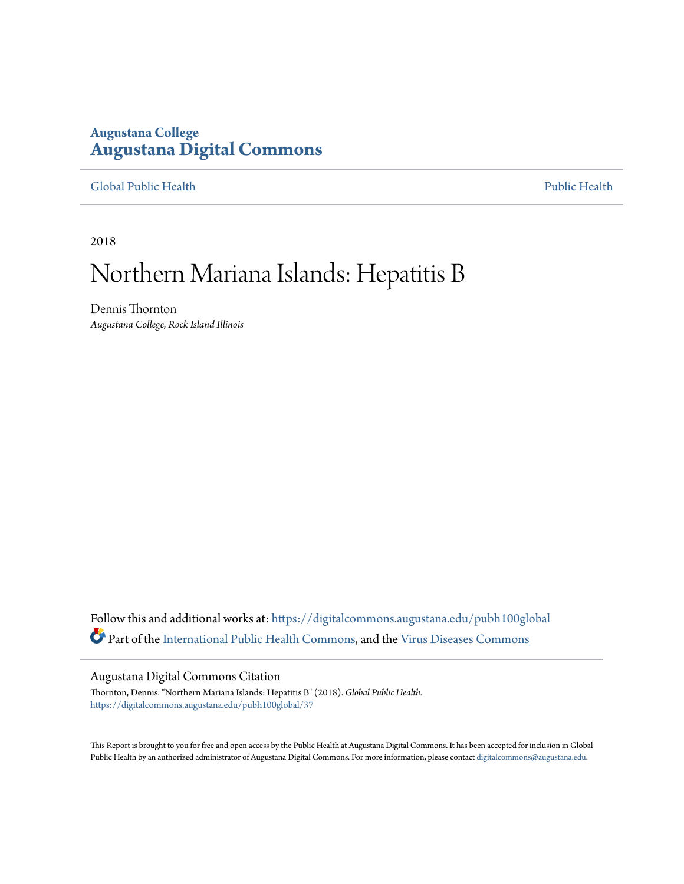## **Augustana College [Augustana Digital Commons](https://digitalcommons.augustana.edu?utm_source=digitalcommons.augustana.edu%2Fpubh100global%2F37&utm_medium=PDF&utm_campaign=PDFCoverPages)**

## [Global Public Health](https://digitalcommons.augustana.edu/pubh100global?utm_source=digitalcommons.augustana.edu%2Fpubh100global%2F37&utm_medium=PDF&utm_campaign=PDFCoverPages) [Public Health](https://digitalcommons.augustana.edu/publichealth?utm_source=digitalcommons.augustana.edu%2Fpubh100global%2F37&utm_medium=PDF&utm_campaign=PDFCoverPages)

2018

## Northern Mariana Islands: Hepatitis B

Dennis Thornton *Augustana College, Rock Island Illinois*

Follow this and additional works at: [https://digitalcommons.augustana.edu/pubh100global](https://digitalcommons.augustana.edu/pubh100global?utm_source=digitalcommons.augustana.edu%2Fpubh100global%2F37&utm_medium=PDF&utm_campaign=PDFCoverPages) Part of the [International Public Health Commons](http://network.bepress.com/hgg/discipline/746?utm_source=digitalcommons.augustana.edu%2Fpubh100global%2F37&utm_medium=PDF&utm_campaign=PDFCoverPages), and the [Virus Diseases Commons](http://network.bepress.com/hgg/discipline/998?utm_source=digitalcommons.augustana.edu%2Fpubh100global%2F37&utm_medium=PDF&utm_campaign=PDFCoverPages)

## Augustana Digital Commons Citation

Thornton, Dennis. "Northern Mariana Islands: Hepatitis B" (2018). *Global Public Health.* [https://digitalcommons.augustana.edu/pubh100global/37](https://digitalcommons.augustana.edu/pubh100global/37?utm_source=digitalcommons.augustana.edu%2Fpubh100global%2F37&utm_medium=PDF&utm_campaign=PDFCoverPages)

This Report is brought to you for free and open access by the Public Health at Augustana Digital Commons. It has been accepted for inclusion in Global Public Health by an authorized administrator of Augustana Digital Commons. For more information, please contact [digitalcommons@augustana.edu.](mailto:digitalcommons@augustana.edu)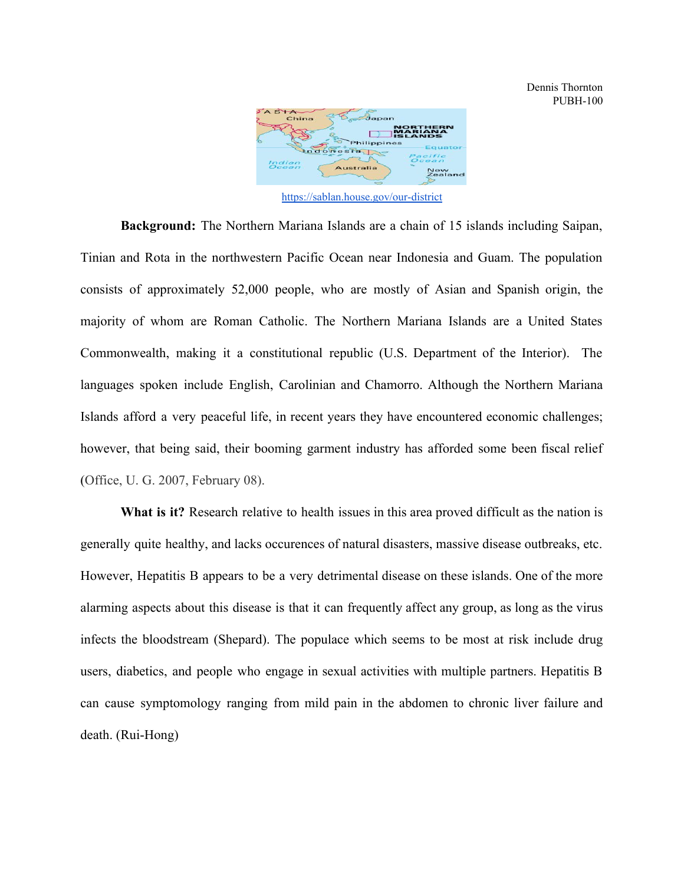

<https://sablan.house.gov/our-district>

**Background:** The Northern Mariana Islands are a chain of 15 islands including Saipan, Tinian and Rota in the northwestern Pacific Ocean near Indonesia and Guam. The population consists of approximately 52,000 people, who are mostly of Asian and Spanish origin, the majority of whom are Roman Catholic. The Northern Mariana Islands are a United States Commonwealth, making it a constitutional republic (U.S. Department of the Interior). The languages spoken include English, Carolinian and Chamorro. Although the Northern Mariana Islands afford a very peaceful life, in recent years they have encountered economic challenges; however, that being said, their booming garment industry has afforded some been fiscal relief (Office, U. G. 2007, February 08).

**What is it?** Research relative to health issues in this area proved difficult as the nation is generally quite healthy, and lacks occurences of natural disasters, massive disease outbreaks, etc. However, Hepatitis B appears to be a very detrimental disease on these islands. One of the more alarming aspects about this disease is that it can frequently affect any group, as long as the virus infects the bloodstream (Shepard). The populace which seems to be most at risk include drug users, diabetics, and people who engage in sexual activities with multiple partners. Hepatitis B can cause symptomology ranging from mild pain in the abdomen to chronic liver failure and death. (Rui-Hong)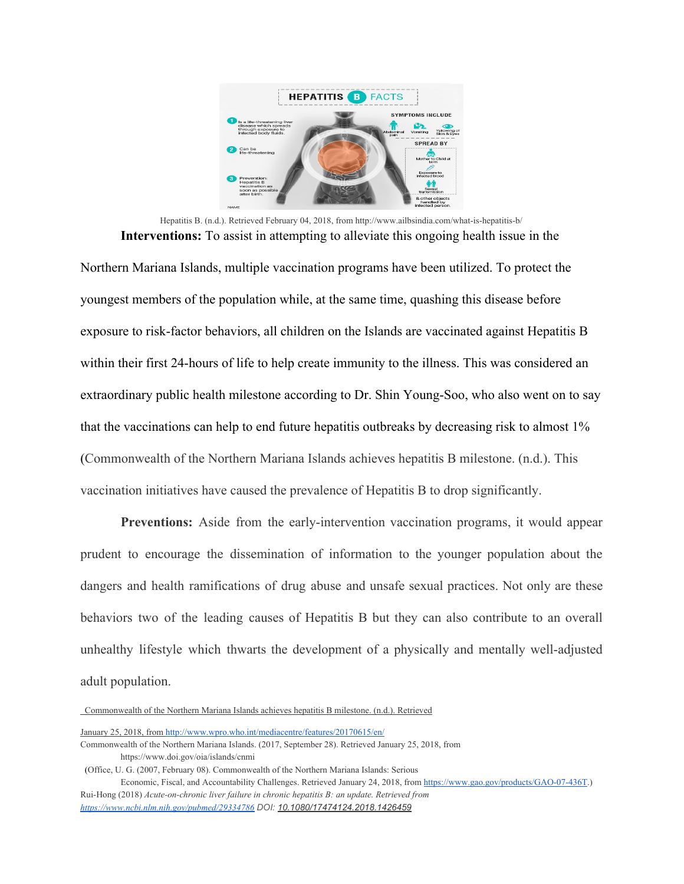

Hepatitis B. (n.d.). Retrieved February 04, 2018, from http://www.ailbsindia.com/what-is-hepatitis-b/ **Interventions:** To assist in attempting to alleviate this ongoing health issue in the

Northern Mariana Islands, multiple vaccination programs have been utilized. To protect the youngest members of the population while, at the same time, quashing this disease before exposure to risk-factor behaviors, all children on the Islands are vaccinated against Hepatitis B within their first 24-hours of life to help create immunity to the illness. This was considered an extraordinary public health milestone according to Dr. Shin Young-Soo, who also went on to say that the vaccinations can help to end future hepatitis outbreaks by decreasing risk to almost 1% (Commonwealth of the Northern Mariana Islands achieves hepatitis B milestone. (n.d.). This vaccination initiatives have caused the prevalence of Hepatitis B to drop significantly.

**Preventions:** Aside from the early-intervention vaccination programs, it would appear prudent to encourage the dissemination of information to the younger population about the dangers and health ramifications of drug abuse and unsafe sexual practices. Not only are these behaviors two of the leading causes of Hepatitis B but they can also contribute to an overall unhealthy lifestyle which thwarts the development of a physically and mentally well-adjusted adult population.

Commonwealth of the Northern Mariana Islands achieves hepatitis B milestone. (n.d.). Retrieved

Economic, Fiscal, and Accountability Challenges. Retrieved January 24, 2018, from [https://www.gao.gov/products/GAO-07-436T.](https://www.gao.gov/products/GAO-07-436T)) Rui-Hong (2018) *Acute-on-chronic liver failure in chronic hepatitis B: an update. Retrieved from <https://www.ncbi.nlm.nih.gov/pubmed/29334786> DOI: [10.1080/17474124.2018.1426459](https://doi.org/10.1080/17474124.2018.1426459)*

January 25, 2018, from <http://www.wpro.who.int/mediacentre/features/20170615/en/>

Commonwealth of the Northern Mariana Islands. (2017, September 28). Retrieved January 25, 2018, from https://www.doi.gov/oia/islands/cnmi

<sup>(</sup>Office, U. G. (2007, February 08). Commonwealth of the Northern Mariana Islands: Serious